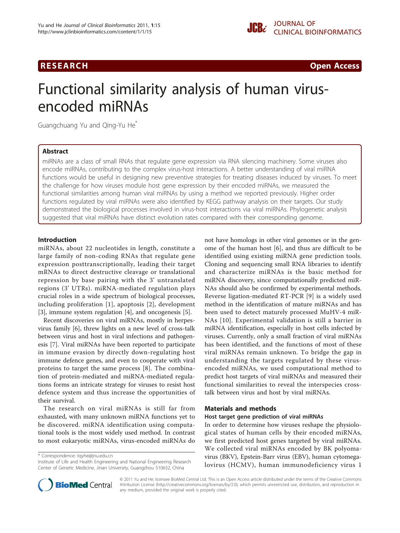# **RESEARCH Open Access CONTRACTES AND INCORPORATION CONTRACTES AND INCORPORATION Open Access**

# Functional similarity analysis of human virusencoded miRNAs

Guangchuang Yu and Qing-Yu He\*

# Abstract

miRNAs are a class of small RNAs that regulate gene expression via RNA silencing machinery. Some viruses also encode miRNAs, contributing to the complex virus-host interactions. A better understanding of viral miRNA functions would be useful in designing new preventive strategies for treating diseases induced by viruses. To meet the challenge for how viruses module host gene expression by their encoded miRNAs, we measured the functional similarities among human viral miRNAs by using a method we reported previously. Higher order functions regulated by viral miRNAs were also identified by KEGG pathway analysis on their targets. Our study demonstrated the biological processes involved in virus-host interactions via viral miRNAs. Phylogenetic analysis suggested that viral miRNAs have distinct evolution rates compared with their corresponding genome.

# Introduction

miRNAs, about 22 nucleotides in length, constitute a large family of non-coding RNAs that regulate gene expression posttranscriptionally, leading their target mRNAs to direct destructive cleavage or translational repression by base pairing with the 3' untranslated regions (3' UTRs). miRNA-mediated regulation plays crucial roles in a wide spectrum of biological processes, including proliferation [\[1](#page-5-0)], apoptosis [[2\]](#page-5-0), development [[3\]](#page-5-0), immune system regulation [[4\]](#page-5-0), and oncogenesis [[5](#page-5-0)].

Recent discoveries on viral miRNAs, mostly in herpesvirus family [\[6](#page-5-0)], threw lights on a new level of cross-talk between virus and host in viral infections and pathogenesis [[7\]](#page-5-0). Viral miRNAs have been reported to participate in immune evasion by directly down-regulating host immune defence genes, and even to cooperate with viral proteins to target the same process [[8\]](#page-5-0). The combination of protein-mediated and miRNA-mediated regulations forms an intricate strategy for viruses to resist host defence system and thus increase the opportunities of their survival.

The research on viral miRNAs is still far from exhausted, with many unknown miRNA functions yet to be discovered. miRNA identification using computational tools is the most widely used method. In contrast to most eukaryotic miRNAs, virus-encoded miRNAs do

\* Correspondence: [tqyhe@jnu.edu.cn](mailto:tqyhe@jnu.edu.cn)

Institute of Life and Health Engineering and National Engineering Research Center of Genetic Medicine, Jinan University, Guangzhou 510632, China



#### Materials and methods

#### Host target gene prediction of viral miRNAs

In order to determine how viruses reshape the physiological states of human cells by their encoded miRNAs, we first predicted host genes targeted by viral miRNAs. We collected viral miRNAs encoded by BK polyomavirus (BKV), Epstein-Barr virus (EBV), human cytomegalovirus (HCMV), human immunodeficiency virus 1



© 2011 Yu and He; licensee BioMed Central Ltd. This is an Open Access article distributed under the terms of the Creative Commons Attribution License [\(http://creativecommons.org/licenses/by/2.0](http://creativecommons.org/licenses/by/2.0)), which permits unrestricted use, distribution, and reproduction in any medium, provided the original work is properly cited.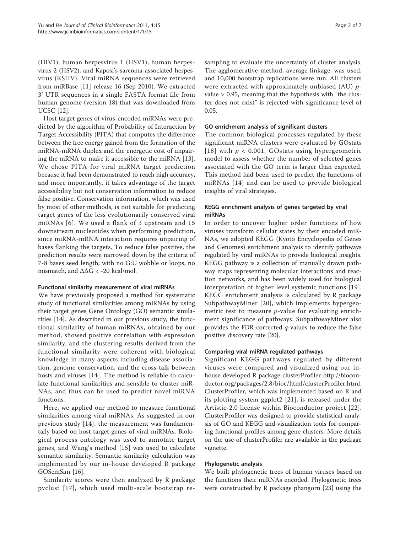(HIV1), human herpesvirus 1 (HSV1), human herpesvirus 2 (HSV2), and Kaposi's sarcoma-associated herpesvirus (KSHV). Viral miRNA sequences were retrieved from miRBase [[11\]](#page-5-0) release 16 (Sep 2010). We extracted 3' UTR sequences in a single FASTA format file from human genome (version 18) that was downloaded from UCSC [\[12](#page-5-0)].

Host target genes of virus-encoded miRNAs were predicted by the algorithm of Probability of Interaction by Target Accessibility (PITA) that computes the difference between the free energy gained from the formation of the miRNA-mRNA duplex and the energetic cost of unpairing the mRNA to make it accessible to the miRNA [[13](#page-5-0)]. We chose PITA for viral miRNA target prediction because it had been demonstrated to reach high accuracy, and more importantly, it takes advantage of the target accessibility but not conservation information to reduce false positive. Conservation information, which was used by most of other methods, is not suitable for predicting target genes of the less evolutionarily conserved viral miRNAs [[6\]](#page-5-0). We used a flank of 3 upstream and 15 downstream nucleotides when performing prediction, since miRNA-mRNA interaction requires unpairing of bases flanking the targets. To reduce false positive, the prediction results were narrowed down by the criteria of 7-8 bases seed length, with no G:U wobble or loops, no mismatch, and  $\Delta\Delta G$  < -20 kcal/mol.

# Functional similarity measurement of viral miRNAs

We have previously proposed a method for systematic study of functional similarities among miRNAs by using their target genes Gene Ontology (GO) semantic similarities [[14](#page-5-0)]. As described in our previous study, the functional similarity of human miRNAs, obtained by our method, showed positive correlation with expression similarity, and the clustering results derived from the functional similarity were coherent with biological knowledge in many aspects including disease association, genome conservation, and the cross-talk between hosts and viruses [[14\]](#page-5-0). The method is reliable to calculate functional similarities and sensible to cluster miR-NAs, and thus can be used to predict novel miRNA functions.

Here, we applied our method to measure functional similarities among viral miRNAs. As suggested in our previous study [[14\]](#page-5-0), the measurement was fundamentally based on host target genes of viral miRNAs. Biological process ontology was used to annotate target genes, and Wang's method [[15](#page-5-0)] was used to calculate semantic similarity. Semantic similarity calculation was implemented by our in-house developed R package GOSemSim [\[16\]](#page-5-0).

Similarity scores were then analyzed by R package pvclust [[17\]](#page-5-0), which used multi-scale bootstrap resampling to evaluate the uncertainty of cluster analysis. The agglomerative method, average linkage, was used, and 10,000 bootstrap replications were run. All clusters were extracted with approximately unbiased (AU)  $p$ value > 0.95, meaning that the hypothesis with "the cluster does not exist" is rejected with significance level of 0.05.

#### GO enrichment analysis of significant clusters

The common biological processes regulated by these significant miRNA clusters were evaluated by GOstats [[18](#page-5-0)] with  $p < 0.001$ . GOstats using hypergeometric model to assess whether the number of selected genes associated with the GO term is larger than expected. This method had been used to predict the functions of miRNAs [[14](#page-5-0)] and can be used to provide biological insights of viral strategies.

# KEGG enrichment analysis of genes targeted by viral miRNAs

In order to uncover higher order functions of how viruses transform cellular states by their encoded miR-NAs, we adopted KEGG (Kyoto Encyclopedia of Genes and Genomes) enrichment analysis to identify pathways regulated by viral miRNAs to provide biological insights. KEGG pathway is a collection of manually drawn pathway maps representing molecular interactions and reaction networks, and has been widely used for biological interpretation of higher level systemic functions [[19\]](#page-5-0). KEGG enrichment analysis is calculated by R package SubpathwayMiner [[20](#page-5-0)], which implements hypergeometric test to measure  $p$ -value for evaluating enrichment significance of pathways. SubpathwayMiner also provides the FDR-corrected  $q$ -values to reduce the false positive discovery rate [\[20\]](#page-5-0).

#### Comparing viral miRNA regulated pathways

Significant KEGG pathways regulated by different viruses were compared and visualized using our inhouse developed R package clusterProfiler [http://biocon](http://bioconductor.org/packages/2.8/bioc/html/clusterProfiler.html)[ductor.org/packages/2.8/bioc/html/clusterProfiler.html](http://bioconductor.org/packages/2.8/bioc/html/clusterProfiler.html). ClusterProfiler, which was implemented based on R and its plotting system ggplot2 [[21](#page-5-0)], is released under the Artistic-2.0 license within Bioconductor project [[22\]](#page-5-0). ClusterProfiler was designed to provide statistical analysis of GO and KEGG and visualization tools for comparing functional profiles among gene clusters. More details on the use of clusterProfiler are available in the package vignette.

#### Phylogenetic analysis

We built phylogenetic trees of human viruses based on the functions their miRNAs encoded. Phylogenetic trees were constructed by R package phangorn [[23\]](#page-5-0) using the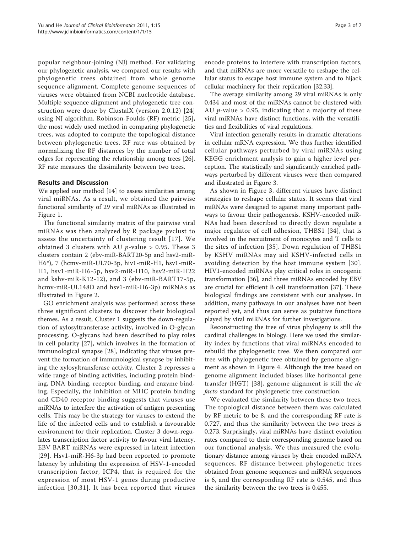popular neighbour-joining (NJ) method. For validating our phylogenetic analysis, we compared our results with phylogenetic trees obtained from whole genome sequence alignment. Complete genome sequences of viruses were obtained from NCBI nucleotide database. Multiple sequence alignment and phylogenetic tree construction were done by ClustalX (version 2.0.12) [[24](#page-5-0)] using NJ algorithm. Robinson-Foulds (RF) metric [[25](#page-5-0)], the most widely used method in comparing phylogenetic trees, was adopted to compute the topological distance between phylogenetic trees. RF rate was obtained by normalizing the RF distances by the number of total edges for representing the relationship among trees [\[26](#page-5-0)]. RF rate measures the dissimilarity between two trees.

# Results and Discussion

We applied our method [\[14](#page-5-0)] to assess similarities among viral miRNAs. As a result, we obtained the pairwise functional similarity of 29 viral miRNAs as illustrated in Figure [1](#page-3-0).

The functional similarity matrix of the pairwise viral miRNAs was then analyzed by R package pvclust to assess the uncertainty of clustering result [[17\]](#page-5-0). We obtained 3 clusters with AU  $p$ -value > 0.95. These 3 clusters contain 2 (ebv-miR-BART20-5p and hsv2-miR-H6\*), 7 (hcmv-miR-UL70-3p, hiv1-miR-H1, hsv1-miR-H1, hsv1-miR-H6-5p, hsv2-miR-H10, hsv2-miR-H22 and kshv-miR-K12-12), and 3 (ebv-miR-BART17-5p, hcmv-miR-UL148D and hsv1-miR-H6-3p) miRNAs as illustrated in Figure [2](#page-4-0).

GO enrichment analysis was performed across these three significant clusters to discover their biological themes. As a result, Cluster 1 suggests the down-regulation of xylosyltransferase activity, involved in O-glycan processing. O-glycans had been described to play roles in cell polarity [[27\]](#page-5-0), which involves in the formation of immunological synapse [[28\]](#page-5-0), indicating that viruses prevent the formation of immunological synapse by inhibiting the xylosyltransferase activity. Cluster 2 represses a wide range of binding activities, including protein binding, DNA binding, receptor binding, and enzyme binding. Especially, the inhibition of MHC protein binding and CD40 receptor binding suggests that viruses use miRNAs to interfere the activation of antigen presenting cells. This may be the strategy for viruses to extend the life of the infected cells and to establish a favourable environment for their replication. Cluster 3 down-regulates transcription factor activity to favour viral latency. EBV BART miRNAs were expressed in latent infection [[29](#page-5-0)]. Hsv1-miR-H6-3p had been reported to promote latency by inhibiting the expression of HSV-1-encoded transcription factor, ICP4, that is required for the expression of most HSV-1 genes during productive infection [[30](#page-5-0),[31\]](#page-5-0). It has been reported that viruses encode proteins to interfere with transcription factors, and that miRNAs are more versatile to reshape the cellular status to escape host immune system and to hijack cellular machinery for their replication [\[32](#page-5-0)[,33\]](#page-6-0).

The average similarity among 29 viral miRNAs is only 0.434 and most of the miRNAs cannot be clustered with AU *p*-value  $> 0.95$ , indicating that a majority of these viral miRNAs have distinct functions, with the versatilities and flexibilities of viral regulations.

Viral infection generally results in dramatic alterations in cellular mRNA expression. We thus further identified cellular pathways perturbed by viral miRNAs using KEGG enrichment analysis to gain a higher level perception. The statistically and significantly enriched pathways perturbed by different viruses were then compared and illustrated in Figure [3.](#page-4-0)

As shown in Figure [3,](#page-4-0) different viruses have distinct strategies to reshape cellular status. It seems that viral miRNAs were designed to against many important pathways to favour their pathogenesis. KSHV-encoded miR-NAs had been described to directly down regulate a major regulator of cell adhesion, THBS1 [[34\]](#page-6-0), that is involved in the recruitment of monocytes and T cells to the sites of infection [[35\]](#page-6-0). Down regulation of THBS1 by KSHV miRNAs may aid KSHV-infected cells in avoiding detection by the host immune system [[30](#page-5-0)]. HIV1-encoded miRNAs play critical roles in oncogenic transformation [[36\]](#page-6-0), and three miRNAs encoded by EBV are crucial for efficient B cell transformation [[37\]](#page-6-0). These biological findings are consistent with our analyses. In addition, many pathways in our analyses have not been reported yet, and thus can serve as putative functions played by viral miRNAs for further investigations.

Reconstructing the tree of virus phylogeny is still the cardinal challenges in biology. Here we used the similarity index by functions that viral miRNAs encoded to rebuild the phylogenetic tree. We then compared our tree with phylogenetic tree obtained by genome alignment as shown in Figure [4.](#page-4-0) Although the tree based on genome alignment included biases like horizontal gene transfer (HGT) [[38](#page-6-0)], genome alignment is still the de facto standard for phylogenetic tree construction.

We evaluated the similarity between these two trees. The topological distance between them was calculated by RF metric to be 8, and the corresponding RF rate is 0.727, and thus the similarity between the two trees is 0.273. Surprisingly, viral miRNAs have distinct evolution rates compared to their corresponding genome based on our functional analysis. We thus measured the evolutionary distance among viruses by their encoded miRNA sequences. RF distance between phylogenetic trees obtained from genome sequences and miRNA sequences is 6, and the corresponding RF rate is 0.545, and thus the similarity between the two trees is 0.455.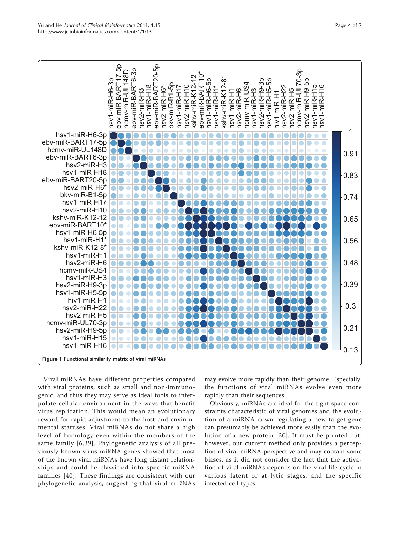<span id="page-3-0"></span>

Viral miRNAs have different properties compared with viral proteins, such as small and non-immunogenic, and thus they may serve as ideal tools to interpolate cellular environment in the ways that benefit virus replication. This would mean an evolutionary reward for rapid adjustment to the host and environmental statuses. Viral miRNAs do not share a high level of homology even within the members of the same family [[6](#page-5-0),[39](#page-6-0)]. Phylogenetic analysis of all previously known virus miRNA genes showed that most of the known viral miRNAs have long distant relationships and could be classified into specific miRNA families [[40\]](#page-6-0). These findings are consistent with our phylogenetic analysis, suggesting that viral miRNAs

may evolve more rapidly than their genome. Especially, the functions of viral miRNAs evolve even more rapidly than their sequences.

Obviously, miRNAs are ideal for the tight space constraints characteristic of viral genomes and the evolution of a miRNA down-regulating a new target gene can presumably be achieved more easily than the evolution of a new protein [[30\]](#page-5-0). It must be pointed out, however, our current method only provides a perception of viral miRNA perspective and may contain some biases, as it did not consider the fact that the activation of viral miRNAs depends on the viral life cycle in various latent or at lytic stages, and the specific infected cell types.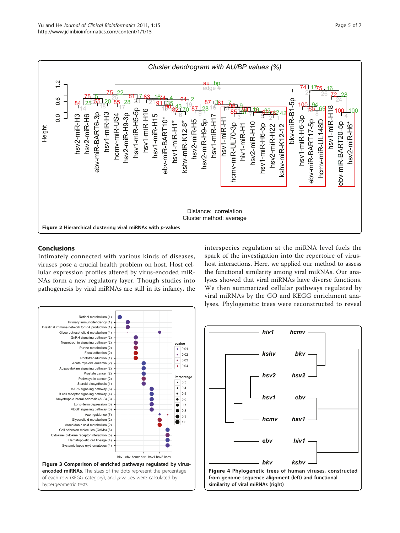<span id="page-4-0"></span>

# Conclusions

Intimately connected with various kinds of diseases, viruses pose a crucial health problem on host. Host cellular expression profiles altered by virus-encoded miR-NAs form a new regulatory layer. Though studies into pathogenesis by viral miRNAs are still in its infancy, the



interspecies regulation at the miRNA level fuels the spark of the investigation into the repertoire of virushost interactions. Here, we applied our method to assess the functional similarity among viral miRNAs. Our analyses showed that viral miRNAs have diverse functions. We then summarized cellular pathways regulated by viral miRNAs by the GO and KEGG enrichment analyses. Phylogenetic trees were reconstructed to reveal

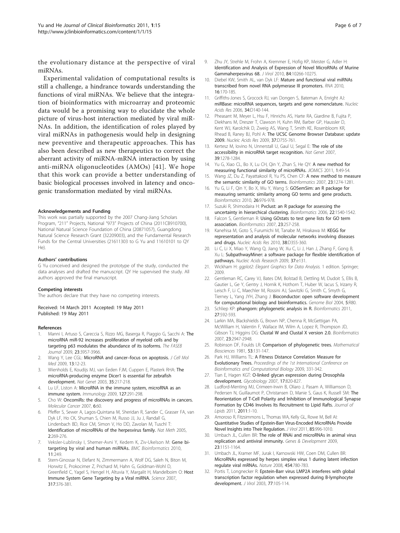<span id="page-5-0"></span>the evolutionary distance at the perspective of viral miRNAs.

Experimental validation of computational results is still a challenge, a hindrance towards understanding the functions of viral miRNAs. We believe that the integration of bioinformatics with microarray and proteomic data would be a promising way to elucidate the whole picture of virus-host interaction mediated by viral miR-NAs. In addition, the identification of roles played by viral miRNAs in pathogenesis would help in designing new preventive and therapeutic approaches. This has also been described as new therapeutics to correct the aberrant activity of miRNA-mRNA interaction by using anti-miRNA oligonucleotides (AMOs) [[41\]](#page-6-0). We hope that this work can provide a better understanding of basic biological processes involved in latency and oncogenic transformation mediated by viral miRNAs.

#### Acknowledgements and Funding

This work was partially supported by the 2007 Chang-Jiang Scholars Program, "211" Projects, National "973" Projects of China (2011CB910700), National Natural Science Foundation of China (20871057), Guangdong Natural Science Research Grant (32209003), and the Fundamental Research Funds for the Central Universities (21611303 to G Yu and 11610101 to QY He).

#### Authors' contributions

G Yu conceived and designed the prototype of the study, conducted the data analyses and drafted the manuscript. QY He supervised the study. All authors approved the final manuscript.

#### Competing interests

The authors declare that they have no competing interests.

Received: 14 March 2011 Accepted: 19 May 2011 Published: 19 May 2011

#### References

- 1. Manni I, Artuso S, Careccia S, Rizzo MG, Baserga R, Piaggio G, Sacchi A: [The](http://www.ncbi.nlm.nih.gov/pubmed/19608627?dopt=Abstract) [microRNA miR-92 increases proliferation of myeloid cells and by](http://www.ncbi.nlm.nih.gov/pubmed/19608627?dopt=Abstract) [targeting p63 modulates the abundance of its isoforms.](http://www.ncbi.nlm.nih.gov/pubmed/19608627?dopt=Abstract) The FASEB Journal 2009, 23:3957-3966.
- 2. Wang Y, Lee CGL: [MicroRNA and cancer](http://www.ncbi.nlm.nih.gov/pubmed/19175697?dopt=Abstract)-focus on apoptosis. J Cell Mol Med 2009, 13:12-23.
- 3. Wienholds E, Koudijs MJ, van Eeden FJM, Cuppen E, Plasterk RHA: [The](http://www.ncbi.nlm.nih.gov/pubmed/14528306?dopt=Abstract) [microRNA-producing enzyme Dicer1 is essential for zebrafish](http://www.ncbi.nlm.nih.gov/pubmed/14528306?dopt=Abstract) [development.](http://www.ncbi.nlm.nih.gov/pubmed/14528306?dopt=Abstract) Nat Genet 2003, 35:217-218.
- 4. Lu LF, Liston A: [MicroRNA in the immune system, microRNA as an](http://www.ncbi.nlm.nih.gov/pubmed/19538248?dopt=Abstract) [immune system.](http://www.ncbi.nlm.nih.gov/pubmed/19538248?dopt=Abstract) Immunology 2009, 127:291-298.
- 5. Cho W: [OncomiRs: the discovery and progress of microRNAs in cancers.](http://www.ncbi.nlm.nih.gov/pubmed/17894887?dopt=Abstract) Molecular Cancer 2007, 6:60.
- Pfeffer S, Sewer A, Lagos-Quintana M, Sheridan R, Sander C, Grasser FA, van Dyk LF, Ho CK, Shuman S, Chien M, Russo JJ, Ju J, Randall G, Lindenbach BD, Rice CM, Simon V, Ho DD, Zavolan M, Tuschl T: Identification of microRNAs of the herpesvirus family. Nat Meth 2005, 2:269-276.
- 7. Veksler-Lublinsky I, Shemer-Avni Y, Kedem K, Ziv-Ukelson M: [Gene bi](http://www.ncbi.nlm.nih.gov/pubmed/20465802?dopt=Abstract)[targeting by viral and human miRNAs.](http://www.ncbi.nlm.nih.gov/pubmed/20465802?dopt=Abstract) BMC Bioinformatics 2010, 11:249.
- Stern-Ginossar N, Elefant N, Zimmermann A, Wolf DG, Saleh N, Biton M, Horwitz E, Prokocimer Z, Prichard M, Hahn G, Goldman-Wohl D, Greenfield C, Yagel S, Hengel H, Altuvia Y, Margalit H, Mandelboim O: [Host](http://www.ncbi.nlm.nih.gov/pubmed/17641203?dopt=Abstract) [Immune System Gene Targeting by a Viral miRNA.](http://www.ncbi.nlm.nih.gov/pubmed/17641203?dopt=Abstract) Science 2007, 317:376-381.
- 9. Zhu JY, Strehle M, Frohn A, Kremmer E, Hofig KP, Meister G, Adler H: [Identification and Analysis of Expression of Novel MicroRNAs of Murine](http://www.ncbi.nlm.nih.gov/pubmed/20668074?dopt=Abstract) [Gammaherpesvirus 68.](http://www.ncbi.nlm.nih.gov/pubmed/20668074?dopt=Abstract) J Virol 2010, 84:10266-10275.
- 10. Diebel KW, Smith AL, van Dyk LF: [Mature and functional viral miRNAs](http://www.ncbi.nlm.nih.gov/pubmed/19948768?dopt=Abstract) [transcribed from novel RNA polymerase III promoters.](http://www.ncbi.nlm.nih.gov/pubmed/19948768?dopt=Abstract) RNA 2010, 16:170-185.
- 11. Griffiths-Jones S, Grocock RJ, van Dongen S, Bateman A, Enright AJ: [miRBase: microRNA sequences, targets and gene nomenclature.](http://www.ncbi.nlm.nih.gov/pubmed/16381832?dopt=Abstract) Nucleic Acids Res 2006, 34:D140-144.
- 12. Pheasant M, Meyer L, Hsu F, Hinrichs AS, Harte RA, Giardine B, Fujita P, Diekhans M, Dreszer T, Clawson H, Kuhn RM, Barber GP, Haussler D, Kent WJ, Karolchik D, Zweig AS, Wang T, Smith KE, Rosenbloom KR, Rhead B, Raney BJ, Pohl A: [The UCSC Genome Browser Database: update](http://www.ncbi.nlm.nih.gov/pubmed/18996895?dopt=Abstract) [2009.](http://www.ncbi.nlm.nih.gov/pubmed/18996895?dopt=Abstract) Nucleic Acids Res 2009, 37:D755-761.
- 13. Kertesz M, Iovino N, Unnerstall U, Gaul U, Segal E: [The role of site](http://www.ncbi.nlm.nih.gov/pubmed/17893677?dopt=Abstract) [accessibility in microRNA target recognition.](http://www.ncbi.nlm.nih.gov/pubmed/17893677?dopt=Abstract) Nat Genet 2007, 39:1278-1284.
- 14. Yu G, Xiao CL, Bo X, Lu CH, Qin Y, Zhan S, He QY: A new method for measuring functional similarity of microRNAs. JIOMICS 2011, 1:49-54.
- 15. Wang JZ, Du Z, Payattakool R, Yu PS, Chen CF: [A new method to measure](http://www.ncbi.nlm.nih.gov/pubmed/17344234?dopt=Abstract) [the semantic similarity of GO terms.](http://www.ncbi.nlm.nih.gov/pubmed/17344234?dopt=Abstract) Bioinformatics 2007, 23:1274-1281.
- 16. Yu G, Li F, Qin Y, Bo X, Wu Y, Wang S: [GOSemSim: an R package for](http://www.ncbi.nlm.nih.gov/pubmed/20179076?dopt=Abstract) [measuring semantic similarity among GO terms and gene products.](http://www.ncbi.nlm.nih.gov/pubmed/20179076?dopt=Abstract) Bioinformatics 2010, 26:976-978.
- 17. Suzuki R, Shimodaira H: [Pvclust: an R package for assessing the](http://www.ncbi.nlm.nih.gov/pubmed/16595560?dopt=Abstract) [uncertainty in hierarchical clustering.](http://www.ncbi.nlm.nih.gov/pubmed/16595560?dopt=Abstract) Bioinformatics 2006, 22:1540-1542.
- 18. Falcon S, Gentleman R: [Using GOstats to test gene lists for GO term](http://www.ncbi.nlm.nih.gov/pubmed/17098774?dopt=Abstract) [association.](http://www.ncbi.nlm.nih.gov/pubmed/17098774?dopt=Abstract) Bioinformatics 2007, 23:257-258.
- 19. Kanehisa M, Goto S, Furumichi M, Tanabe M, Hirakawa M: [KEGG for](http://www.ncbi.nlm.nih.gov/pubmed/19880382?dopt=Abstract) [representation and analysis of molecular networks involving diseases](http://www.ncbi.nlm.nih.gov/pubmed/19880382?dopt=Abstract) [and drugs.](http://www.ncbi.nlm.nih.gov/pubmed/19880382?dopt=Abstract) Nucleic Acids Res 2010, 38:D355-360.
- 20. Li C, Li X, Miao Y, Wang Q, Jiang W, Xu C, Li J, Han J, Zhang F, Gong B, Xu L: [SubpathwayMiner: a software package for flexible identification of](http://www.ncbi.nlm.nih.gov/pubmed/19706733?dopt=Abstract) [pathways.](http://www.ncbi.nlm.nih.gov/pubmed/19706733?dopt=Abstract) Nucleic Acids Research 2009, 37:e131.
- 21. Wickham H: gaplot2: Elegant Graphics for Data Analysis. 1 edition. Springer; 2009.
- 22. Gentleman RC, Carey VJ, Bates DM, Bolstad B, Dettling M, Dudoit S, Ellis B, Gautier L, Ge Y, Gentry J, Hornik K, Hothorn T, Huber W, Iacus S, Irizarry R, Leisch F, Li C, Maechler M, Rossini AJ, Sawitzki G, Smith C, Smyth G, Tierney L, Yang JYH, Zhang J: [Bioconductor: open software development](http://www.ncbi.nlm.nih.gov/pubmed/15461798?dopt=Abstract) [for computational biology and bioinformatics.](http://www.ncbi.nlm.nih.gov/pubmed/15461798?dopt=Abstract) Genome Biol 2004, 5:R80.
- 23. Schliep KP: [phangorn: phylogenetic analysis in R.](http://www.ncbi.nlm.nih.gov/pubmed/21169378?dopt=Abstract) Bioinformatics 2011, 27:592-593.
- 24. Larkin MA, Blackshields G, Brown NP, Chenna R, McGettigan PA, McWilliam H, Valentin F, Wallace IM, Wilm A, Lopez R, Thompson JD, Gibson TJ, Higgins DG: [Clustal W and Clustal X version 2.0.](http://www.ncbi.nlm.nih.gov/pubmed/17846036?dopt=Abstract) Bioinformatics 2007, 23:2947-2948.
- 25. Robinson DF, Foulds LR: Comparison of phylogenetic trees. Mathematical Biosciences 1981, 53:131-147.
- 26. Park HJ, Williams TL: A Fitness Distance Correlation Measure for Evolutionary Trees. Proceedings of the 1st International Conference on Bioinformatics and Computational Biology 2009, 331-342.
- 27. Tian E, Hagen KGT: [O-linked glycan expression during Drosophila](http://www.ncbi.nlm.nih.gov/pubmed/17522109?dopt=Abstract) [development.](http://www.ncbi.nlm.nih.gov/pubmed/17522109?dopt=Abstract) Glycobiology 2007, 17:820-827.
- 28. Ludford-Menting MJ, Crimeen-Irwin B, Oliaro J, Pasam A, Williamson D, Pedersen N, Guillaumot P, Christansen D, Manie S, Gaus K, Russell SM: The Reorientation of T-Cell Polarity and Inhibition of Immunological Synapse Formation by CD46 Involves Its Recruitment to Lipid Rafts. Journal of Lipids 2011, 2011:1-10.
- 29. Amoroso R, Fitzsimmons L, Thomas WA, Kelly GL, Rowe M, Bell AI: [Quantitative Studies of Epstein-Barr Virus-Encoded MicroRNAs Provide](http://www.ncbi.nlm.nih.gov/pubmed/21068248?dopt=Abstract) [Novel Insights into Their Regulation.](http://www.ncbi.nlm.nih.gov/pubmed/21068248?dopt=Abstract) J Virol 2011, 85:996-1010.
- 30. Umbach JL, Cullen BR: [The role of RNAi and microRNAs in animal virus](http://www.ncbi.nlm.nih.gov/pubmed/21598312?dopt=Abstract) [replication and antiviral immunity.](http://www.ncbi.nlm.nih.gov/pubmed/21598312?dopt=Abstract) Genes & Development 2009, 23:1151-1164.
- 31. Umbach JL, Kramer MF, Jurak I, Karnowski HW, Coen DM, Cullen BR: [MicroRNAs expressed by herpes simplex virus 1 during latent infection](http://www.ncbi.nlm.nih.gov/pubmed/18596690?dopt=Abstract) [regulate viral mRNAs.](http://www.ncbi.nlm.nih.gov/pubmed/18596690?dopt=Abstract) Nature 2008, 454:780-783.
- 32. Portis T, Longnecker R: [Epstein-Barr virus LMP2A interferes with global](http://www.ncbi.nlm.nih.gov/pubmed/12477815?dopt=Abstract) [transcription factor regulation when expressed during B-lymphocyte](http://www.ncbi.nlm.nih.gov/pubmed/12477815?dopt=Abstract) [development.](http://www.ncbi.nlm.nih.gov/pubmed/12477815?dopt=Abstract) J Virol 2003, 77:105-114.